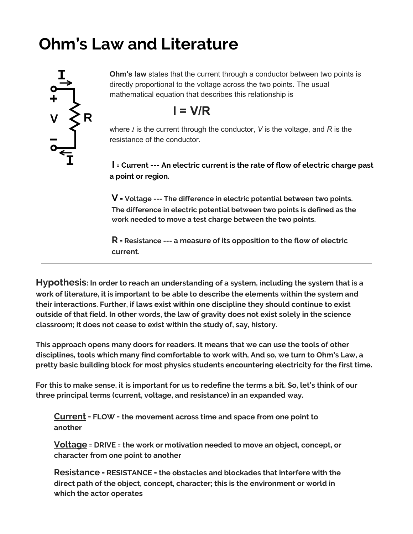## **Ohm's Law and Literature**



**Ohm's law** states that the current through a conductor between two points is directly proportional to the voltage across the two points. The usual mathematical equation that describes this relationship is

$$
I = V/R
$$

where *I* is the current through the conductor, *V* is the voltage, and *R* is the resistance of the conductor.

**I = Current --- An electric current is the rate of flow of electric charge past a point or region.**

**V = Voltage --- The difference in electric potential between two points. The difference in electric potential between two points is defined as the work needed to move a test charge between the two points.**

**R = Resistance --- a measure of its opposition to the flow of electric current.**

**Hypothesis: In order to reach an understanding of a system, including the system that is a work of literature, it is important to be able to describe the elements within the system and their interactions. Further, if laws exist within one discipline they should continue to exist outside of that field. In other words, the law of gravity does not exist solely in the science classroom; it does not cease to exist within the study of, say, history.**

**This approach opens many doors for readers. It means that we can use the tools of other disciplines, tools which many find comfortable to work with, And so, we turn to Ohm's Law, a pretty basic building block for most physics students encountering electricity for the first time.**

For this to make sense, it is important for us to redefine the terms a bit. So, let's think of our **three principal terms (current, voltage, and resistance) in an expanded way.**

**Current = FLOW = the movement across time and space from one point to another**

**Voltage = DRIVE = the work or motivation needed to move an object, concept, or character from one point to another**

**Resistance = RESISTANCE = the obstacles and blockades that interfere with the direct path of the object, concept, character; this is the environment or world in which the actor operates**